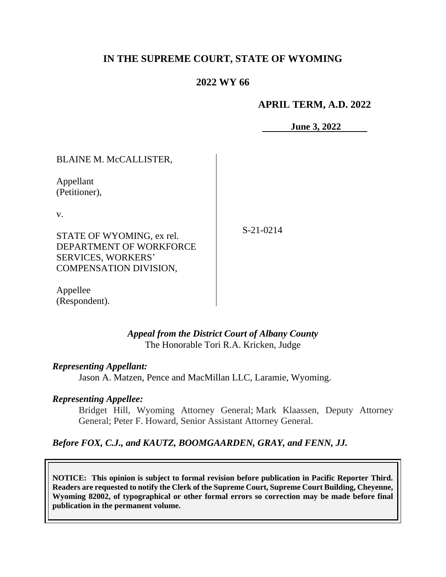# **IN THE SUPREME COURT, STATE OF WYOMING**

# **2022 WY 66**

### **APRIL TERM, A.D. 2022**

**June 3, 2022**

BLAINE M. McCALLISTER,

Appellant (Petitioner),

v.

S-21-0214

STATE OF WYOMING, ex rel. DEPARTMENT OF WORKFORCE SERVICES, WORKERS' COMPENSATION DIVISION,

Appellee (Respondent).

### *Appeal from the District Court of Albany County* The Honorable Tori R.A. Kricken, Judge

#### *Representing Appellant:*

Jason A. Matzen, Pence and MacMillan LLC, Laramie, Wyoming.

#### *Representing Appellee:*

Bridget Hill, Wyoming Attorney General; Mark Klaassen, Deputy Attorney General; Peter F. Howard, Senior Assistant Attorney General.

# *Before FOX, C.J., and KAUTZ, BOOMGAARDEN, GRAY, and FENN, JJ.*

**NOTICE: This opinion is subject to formal revision before publication in Pacific Reporter Third. Readers are requested to notify the Clerk of the Supreme Court, Supreme Court Building, Cheyenne, Wyoming 82002, of typographical or other formal errors so correction may be made before final publication in the permanent volume.**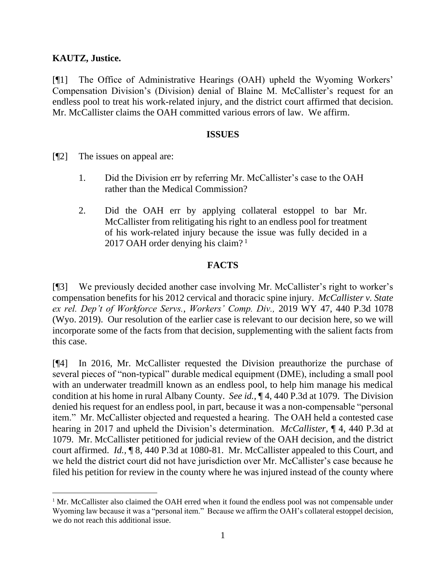### **KAUTZ, Justice.**

[¶1] The Office of Administrative Hearings (OAH) upheld the Wyoming Workers' Compensation Division's (Division) denial of Blaine M. McCallister's request for an endless pool to treat his work-related injury, and the district court affirmed that decision. Mr. McCallister claims the OAH committed various errors of law. We affirm.

#### **ISSUES**

- [¶2] The issues on appeal are:
	- 1. Did the Division err by referring Mr. McCallister's case to the OAH rather than the Medical Commission?
	- 2. Did the OAH err by applying collateral estoppel to bar Mr. McCallister from relitigating his right to an endless pool for treatment of his work-related injury because the issue was fully decided in a 2017 OAH order denying his claim? <sup>1</sup>

### **FACTS**

[¶3] We previously decided another case involving Mr. McCallister's right to worker's compensation benefits for his 2012 cervical and thoracic spine injury. *McCallister v. State ex rel. Dep't of Workforce Servs., Workers' Comp. Div.,* 2019 WY 47, 440 P.3d 1078 (Wyo. 2019). Our resolution of the earlier case is relevant to our decision here, so we will incorporate some of the facts from that decision, supplementing with the salient facts from this case.

[¶4] In 2016, Mr. McCallister requested the Division preauthorize the purchase of several pieces of "non-typical" durable medical equipment (DME), including a small pool with an underwater treadmill known as an endless pool, to help him manage his medical condition at his home in rural Albany County. *See id.,* ¶ 4, 440 P.3d at 1079. The Division denied his request for an endless pool, in part, because it was a non-compensable "personal item." Mr. McCallister objected and requested a hearing. The OAH held a contested case hearing in 2017 and upheld the Division's determination. *McCallister,* ¶ 4, 440 P.3d at 1079.Mr. McCallister petitioned for judicial review of the OAH decision, and the district court affirmed. *Id.,* ¶ 8, 440 P.3d at 1080-81. Mr. McCallister appealed to this Court, and we held the district court did not have jurisdiction over Mr. McCallister's case because he filed his petition for review in the county where he was injured instead of the county where

 $1$  Mr. McCallister also claimed the OAH erred when it found the endless pool was not compensable under Wyoming law because it was a "personal item." Because we affirm the OAH's collateral estoppel decision, we do not reach this additional issue.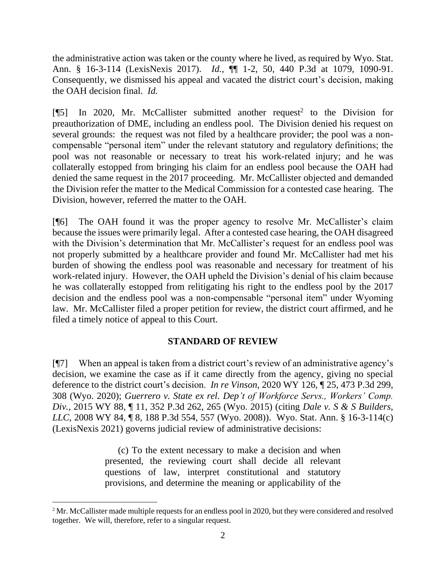the administrative action was taken or the county where he lived, as required by Wyo. Stat. Ann. § 16-3-114 (LexisNexis 2017). *Id.,* ¶¶ 1-2, 50, 440 P.3d at 1079, 1090-91. Consequently, we dismissed his appeal and vacated the district court's decision, making the OAH decision final. *Id.*

[ $[$ [5] In 2020, Mr. McCallister submitted another request<sup>2</sup> to the Division for preauthorization of DME, including an endless pool. The Division denied his request on several grounds: the request was not filed by a healthcare provider; the pool was a noncompensable "personal item" under the relevant statutory and regulatory definitions; the pool was not reasonable or necessary to treat his work-related injury; and he was collaterally estopped from bringing his claim for an endless pool because the OAH had denied the same request in the 2017 proceeding. Mr. McCallister objected and demanded the Division refer the matter to the Medical Commission for a contested case hearing. The Division, however, referred the matter to the OAH.

[¶6] The OAH found it was the proper agency to resolve Mr. McCallister's claim because the issues were primarily legal. After a contested case hearing, the OAH disagreed with the Division's determination that Mr. McCallister's request for an endless pool was not properly submitted by a healthcare provider and found Mr. McCallister had met his burden of showing the endless pool was reasonable and necessary for treatment of his work-related injury. However, the OAH upheld the Division's denial of his claim because he was collaterally estopped from relitigating his right to the endless pool by the 2017 decision and the endless pool was a non-compensable "personal item" under Wyoming law. Mr. McCallister filed a proper petition for review, the district court affirmed, and he filed a timely notice of appeal to this Court.

# **STANDARD OF REVIEW**

[¶7] When an appeal is taken from a district court's review of an administrative agency's decision, we examine the case as if it came directly from the agency, giving no special deference to the district court's decision. *In re Vinson,* 2020 WY 126, ¶ 25, 473 P.3d 299, 308 (Wyo. 2020); *Guerrero v. State ex rel. Dep't of Workforce Servs., Workers' Comp. Div.,* 2015 WY 88, ¶ 11, 352 P.3d 262, 265 (Wyo. 2015) (citing *Dale v. S & S Builders, LLC,* 2008 WY 84, ¶ 8, 188 P.3d 554, 557 (Wyo. 2008)). Wyo. Stat. Ann. § 16-3-114(c) (LexisNexis 2021) governs judicial review of administrative decisions:

> (c) To the extent necessary to make a decision and when presented, the reviewing court shall decide all relevant questions of law, interpret constitutional and statutory provisions, and determine the meaning or applicability of the

<sup>&</sup>lt;sup>2</sup> Mr. McCallister made multiple requests for an endless pool in 2020, but they were considered and resolved together. We will, therefore, refer to a singular request.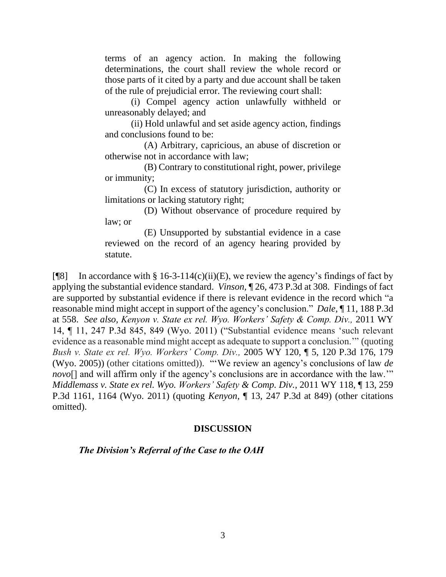terms of an agency action. In making the following determinations, the court shall review the whole record or those parts of it cited by a party and due account shall be taken of the rule of prejudicial error. The reviewing court shall:

(i) Compel agency action unlawfully withheld or unreasonably delayed; and

(ii) Hold unlawful and set aside agency action, findings and conclusions found to be:

(A) Arbitrary, capricious, an abuse of discretion or otherwise not in accordance with law;

(B) Contrary to constitutional right, power, privilege or immunity;

(C) In excess of statutory jurisdiction, authority or limitations or lacking statutory right;

(D) Without observance of procedure required by law; or

(E) Unsupported by substantial evidence in a case reviewed on the record of an agency hearing provided by statute.

[ $[$ [8] In accordance with § 16-3-114(c)(ii)(E), we review the agency's findings of fact by applying the substantial evidence standard. *Vinson,* ¶ 26, 473 P.3d at 308. Findings of fact are supported by substantial evidence if there is relevant evidence in the record which "a reasonable mind might accept in support of the agency's conclusion." *Dale,* ¶ 11, 188 P.3d at 558. *See also, Kenyon v. State ex rel. Wyo. Workers' Safety & Comp. Div.,* 2011 WY 14, ¶ 11, 247 P.3d 845, 849 (Wyo. 2011) ("Substantial evidence means 'such relevant evidence as a reasonable mind might accept as adequate to support a conclusion.'" (quoting *Bush v. State ex rel. Wyo. Workers' Comp. Div.,* 2005 WY 120, ¶ 5, 120 P.3d 176, 179 (Wyo. 2005)) (other citations omitted)). "'We review an agency's conclusions of law *de novo*[] and will affirm only if the agency's conclusions are in accordance with the law." *Middlemass v. State ex rel. Wyo. Workers' Safety & Comp. Div.,* 2011 WY 118, ¶ 13, 259 P.3d 1161, 1164 (Wyo. 2011) (quoting *Kenyon,* ¶ 13, 247 P.3d at 849) (other citations omitted).

# **DISCUSSION**

# *The Division's Referral of the Case to the OAH*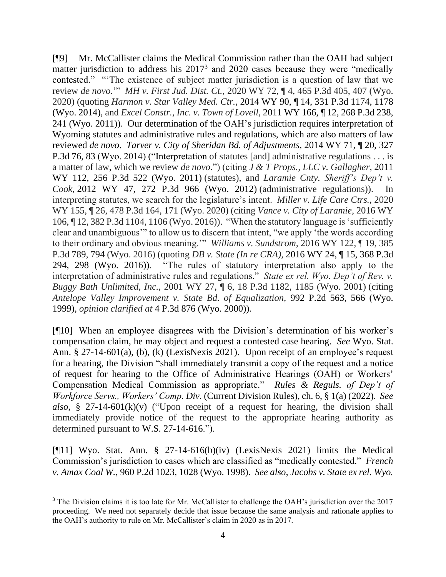[¶9] Mr. McCallister claims the Medical Commission rather than the OAH had subject matter jurisdiction to address his 2017<sup>3</sup> and 2020 cases because they were "medically contested." "'The existence of subject matter jurisdiction is a question of law that we review *de novo*.'" *MH v. First Jud. Dist. Ct.,* 2020 WY 72, ¶ 4, 465 P.3d 405, 407 (Wyo. 2020) (quoting *Harmon v. Star Valley Med. Ctr.,* 2014 WY 90, ¶ 14, 331 P.3d 1174, 1178 (Wyo. 2014), and *Excel Constr., Inc. v. Town of Lovell,* 2011 WY 166, ¶ 12, 268 P.3d 238, 241 (Wyo. 2011)). Our determination of the OAH's jurisdiction requires interpretation of Wyoming statutes and administrative rules and regulations, which are also matters of law reviewed *de novo*. *Tarver v. City of Sheridan Bd. of Adjustments,* 2014 WY 71, ¶ 20, 327 P.3d 76, 83 (Wyo. 2014) ("Interpretation of statutes [and] administrative regulations . . . is a matter of law, which we review *de novo*.") (citing *J & T Props., LLC v. Gallagher,* 2011 WY 112, 256 P.3d 522 (Wyo. 2011) (statutes), and *Laramie Cnty. Sheriff's Dep't v. Cook,* 2012 WY 47, 272 P.3d 966 (Wyo. 2012) (administrative regulations)). In interpreting statutes, we search for the legislature's intent. *Miller v. Life Care Ctrs.,* 2020 WY 155, ¶ 26, 478 P.3d 164, 171 (Wyo. 2020) (citing *Vance v. City of Laramie,* 2016 WY 106, ¶ 12, 382 P.3d 1104, 1106 (Wyo. 2016)). "When the statutory language is 'sufficiently clear and unambiguous'" to allow us to discern that intent, "we apply 'the words according to their ordinary and obvious meaning.'" *Williams v. Sundstrom,* 2016 WY 122, ¶ 19, 385 P.3d 789, 794 (Wyo. 2016) (quoting *DB v. State (In re CRA),* 2016 WY 24, ¶ 15, 368 P.3d 294, 298 (Wyo. 2016)). "The rules of statutory interpretation also apply to the interpretation of administrative rules and regulations." *State ex rel. Wyo. Dep't of Rev. v. Buggy Bath Unlimited, Inc.,* 2001 WY 27, ¶ 6, 18 P.3d 1182, 1185 (Wyo. 2001) (citing *Antelope Valley Improvement v. State Bd. of Equalization,* 992 P.2d 563, 566 (Wyo. 1999), *opinion clarified at* 4 P.3d 876 (Wyo. 2000)).

[¶10] When an employee disagrees with the Division's determination of his worker's compensation claim, he may object and request a contested case hearing. *See* Wyo. Stat. Ann. § 27-14-601(a), (b), (k) (LexisNexis 2021). Upon receipt of an employee's request for a hearing, the Division "shall immediately transmit a copy of the request and a notice of request for hearing to the Office of Administrative Hearings (OAH) or Workers' Compensation Medical Commission as appropriate." *Rules & Reguls. of Dep't of Workforce Servs., Workers' Comp. Div.* (Current Division Rules), ch. 6, § 1(a) (2022). *See also,* § 27-14-601(k)(v) ("Upon receipt of a request for hearing, the division shall immediately provide notice of the request to the appropriate hearing authority as determined pursuant to W.S. 27-14-616.").

[¶11] Wyo. Stat. Ann. § 27-14-616(b)(iv) (LexisNexis 2021) limits the Medical Commission's jurisdiction to cases which are classified as "medically contested." *French v. Amax Coal W.,* 960 P.2d 1023, 1028 (Wyo. 1998). *See also, Jacobs v. State ex rel. Wyo.* 

<sup>&</sup>lt;sup>3</sup> The Division claims it is too late for Mr. McCallister to challenge the OAH's jurisdiction over the 2017 proceeding. We need not separately decide that issue because the same analysis and rationale applies to the OAH's authority to rule on Mr. McCallister's claim in 2020 as in 2017.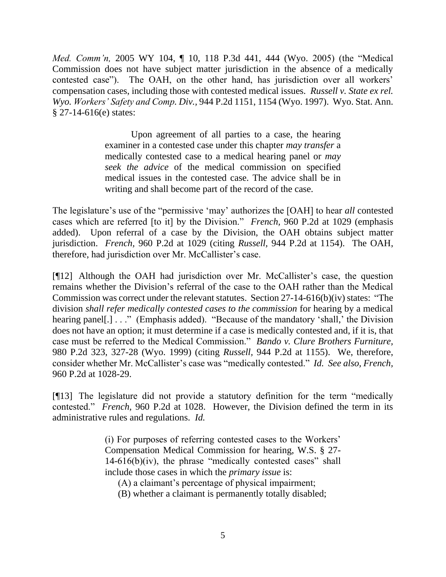*Med. Comm'n,* 2005 WY 104, ¶ 10, 118 P.3d 441, 444 (Wyo. 2005) (the "Medical Commission does not have subject matter jurisdiction in the absence of a medically contested case"). The OAH, on the other hand, has jurisdiction over all workers' compensation cases, including those with contested medical issues. *Russell v. State ex rel. Wyo. Workers' Safety and Comp. Div.,* 944 P.2d 1151, 1154 (Wyo. 1997). Wyo. Stat. Ann. § 27-14-616(e) states:

> Upon agreement of all parties to a case, the hearing examiner in a contested case under this chapter *may transfer* a medically contested case to a medical hearing panel or *may seek the advice* of the medical commission on specified medical issues in the contested case. The advice shall be in writing and shall become part of the record of the case.

The legislature's use of the "permissive 'may' authorizes the [OAH] to hear *all* contested cases which are referred [to it] by the Division." *French,* 960 P.2d at 1029 (emphasis added). Upon referral of a case by the Division, the OAH obtains subject matter jurisdiction. *French,* 960 P.2d at 1029 (citing *Russell,* 944 P.2d at 1154). The OAH, therefore, had jurisdiction over Mr. McCallister's case.

[¶12] Although the OAH had jurisdiction over Mr. McCallister's case, the question remains whether the Division's referral of the case to the OAH rather than the Medical Commission was correct under the relevant statutes. Section 27-14-616(b)(iv) states: "The division *shall refer medically contested cases to the commission* for hearing by a medical hearing panel[.] . . ." (Emphasis added). "Because of the mandatory 'shall,' the Division does not have an option; it must determine if a case is medically contested and, if it is, that case must be referred to the Medical Commission." *Bando v. Clure Brothers Furniture,*  980 P.2d 323, 327-28 (Wyo. 1999) (citing *Russell,* 944 P.2d at 1155). We, therefore, consider whether Mr. McCallister's case was "medically contested." *Id. See also, French,*  960 P.2d at 1028-29.

[¶13] The legislature did not provide a statutory definition for the term "medically contested." *French,* 960 P.2d at 1028. However, the Division defined the term in its administrative rules and regulations. *Id.*

> (i) For purposes of referring contested cases to the Workers' Compensation Medical Commission for hearing, W.S. § 27- 14-616(b)(iv), the phrase "medically contested cases" shall include those cases in which the *primary issue* is:

(A) a claimant's percentage of physical impairment;

(B) whether a claimant is permanently totally disabled;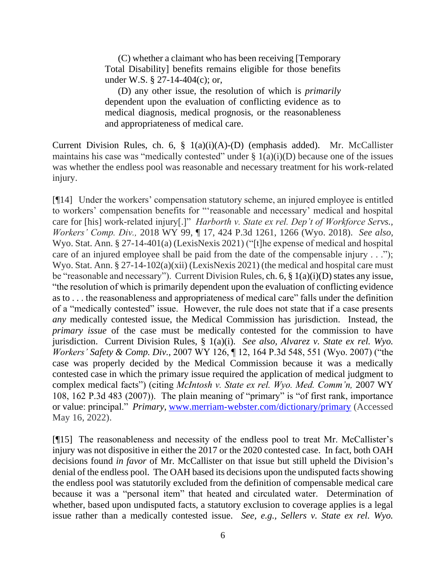(C) whether a claimant who has been receiving [Temporary Total Disability] benefits remains eligible for those benefits under W.S. § 27-14-404(c); or,

(D) any other issue, the resolution of which is *primarily* dependent upon the evaluation of conflicting evidence as to medical diagnosis, medical prognosis, or the reasonableness and appropriateness of medical care.

Current Division Rules, ch. 6, § 1(a)(i)(A)-(D) (emphasis added). Mr. McCallister maintains his case was "medically contested" under  $\S$  1(a)(i)(D) because one of the issues was whether the endless pool was reasonable and necessary treatment for his work-related injury.

[¶14] Under the workers' compensation statutory scheme, an injured employee is entitled to workers' compensation benefits for "'reasonable and necessary' medical and hospital care for [his] work-related injury[.]" *Harborth v. State ex rel. Dep't of Workforce Servs., Workers' Comp. Div.,* 2018 WY 99, ¶ 17, 424 P.3d 1261, 1266 (Wyo. 2018). *See also,*  Wyo. Stat. Ann. § 27-14-401(a) (LexisNexis 2021) ("[t]he expense of medical and hospital care of an injured employee shall be paid from the date of the compensable injury . . ."); Wyo. Stat. Ann. § 27-14-102(a)(xii) (LexisNexis 2021) (the medical and hospital care must be "reasonable and necessary"). Current Division Rules, ch. 6, § 1(a)(i)(D) states any issue, "the resolution of which is primarily dependent upon the evaluation of conflicting evidence as to . . . the reasonableness and appropriateness of medical care" falls under the definition of a "medically contested" issue. However, the rule does not state that if a case presents *any* medically contested issue, the Medical Commission has jurisdiction. Instead, the *primary issue* of the case must be medically contested for the commission to have jurisdiction. Current Division Rules, § 1(a)(i). *See also, Alvarez v. State ex rel. Wyo. Workers' Safety & Comp. Div.,* 2007 WY 126, ¶ 12, 164 P.3d 548, 551 (Wyo. 2007) ("the case was properly decided by the Medical Commission because it was a medically contested case in which the primary issue required the application of medical judgment to complex medical facts") (citing *McIntosh v. State ex rel. Wyo. Med. Comm'n,* 2007 WY 108, 162 P.3d 483 (2007)). The plain meaning of "primary" is "of first rank, importance or value: principal." *Primary,* [www.merriam-webster.com/dictionary/primary](http://www.merriam-webster.com/dictionary/primary) (Accessed May 16, 2022).

[¶15] The reasonableness and necessity of the endless pool to treat Mr. McCallister's injury was not dispositive in either the 2017 or the 2020 contested case. In fact, both OAH decisions found *in favor* of Mr. McCallister on that issue but still upheld the Division's denial of the endless pool. The OAH based its decisions upon the undisputed facts showing the endless pool was statutorily excluded from the definition of compensable medical care because it was a "personal item" that heated and circulated water. Determination of whether, based upon undisputed facts, a statutory exclusion to coverage applies is a legal issue rather than a medically contested issue. *See, e.g., Sellers v. State ex rel. Wyo.*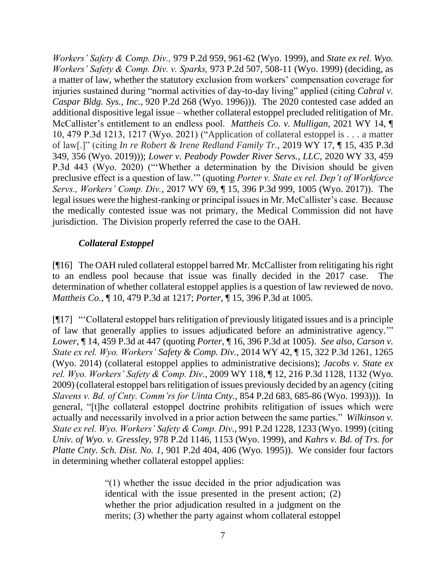*Workers' Safety & Comp. Div.,* 979 P.2d 959, 961-62 (Wyo. 1999), and *State ex rel. Wyo. Workers' Safety & Comp. Div. v. Sparks,* 973 P.2d 507, 508-11 (Wyo. 1999) (deciding, as a matter of law, whether the statutory exclusion from workers' compensation coverage for injuries sustained during "normal activities of day-to-day living" applied (citing *Cabral v. Caspar Bldg. Sys., Inc.,* 920 P.2d 268 (Wyo. 1996))). The 2020 contested case added an additional dispositive legal issue – whether collateral estoppel precluded relitigation of Mr. McCallister's entitlement to an endless pool. *Mattheis Co. v. Mulligan,* 2021 WY 14, ¶ 10, 479 P.3d 1213, 1217 (Wyo. 2021) ("Application of collateral estoppel is . . . a matter of law[.]" (citing *In re Robert & Irene Redland Family Tr.*, 2019 WY 17, ¶ 15, 435 P.3d 349, 356 (Wyo. 2019))); *Lower v. Peabody Powder River Servs., LLC,* 2020 WY 33, 459 P.3d 443 (Wyo. 2020) ("'Whether a determination by the Division should be given preclusive effect is a question of law.'" (quoting *Porter v. State ex rel. Dep't of Workforce Servs., Workers' Comp. Div.*, 2017 WY 69, ¶ 15, 396 P.3d 999, 1005 (Wyo. 2017)). The legal issues were the highest-ranking or principal issues in Mr. McCallister's case. Because the medically contested issue was not primary, the Medical Commission did not have jurisdiction. The Division properly referred the case to the OAH.

# *Collateral Estoppel*

[¶16] The OAH ruled collateral estoppel barred Mr. McCallister from relitigating his right to an endless pool because that issue was finally decided in the 2017 case. The determination of whether collateral estoppel applies is a question of law reviewed de novo. *Mattheis Co.,* ¶ 10, 479 P.3d at 1217; *Porter,* ¶ 15, 396 P.3d at 1005.

[¶17] "'Collateral estoppel bars relitigation of previously litigated issues and is a principle of law that generally applies to issues adjudicated before an administrative agency.'" *Lower,* ¶ 14, 459 P.3d at 447 (quoting *Porter,* ¶ 16, 396 P.3d at 1005). *See also, Carson v. State ex rel. Wyo. Workers' Safety & Comp. Div.*, 2014 WY 42, ¶ 15, 322 P.3d 1261, 1265 (Wyo. 2014) (collateral estoppel applies to administrative decisions); *Jacobs v. State ex rel. Wyo. Workers' Safety & Comp. Div.*, 2009 WY 118, ¶ 12, 216 P.3d 1128, 1132 (Wyo. 2009) (collateral estoppel bars relitigation of issues previously decided by an agency (citing *Slavens v. Bd. of Cnty. Comm'rs for Uinta Cnty.,* 854 P.2d 683, 685-86 (Wyo. 1993))). In general, "[t]he collateral estoppel doctrine prohibits relitigation of issues which were actually and necessarily involved in a prior action between the same parties." *Wilkinson v. State ex rel. Wyo. Workers' Safety & Comp. Div.,* 991 P.2d 1228, 1233 (Wyo. 1999) (citing *Univ. of Wyo. v. Gressley,* 978 P.2d 1146, 1153 (Wyo. 1999), and *Kahrs v. Bd. of Trs. for Platte Cnty. Sch. Dist. No. 1,* 901 P.2d 404, 406 (Wyo. 1995)). We consider four factors in determining whether collateral estoppel applies:

> "(1) whether the issue decided in the prior adjudication was identical with the issue presented in the present action; (2) whether the prior adjudication resulted in a judgment on the merits; (3) whether the party against whom collateral estoppel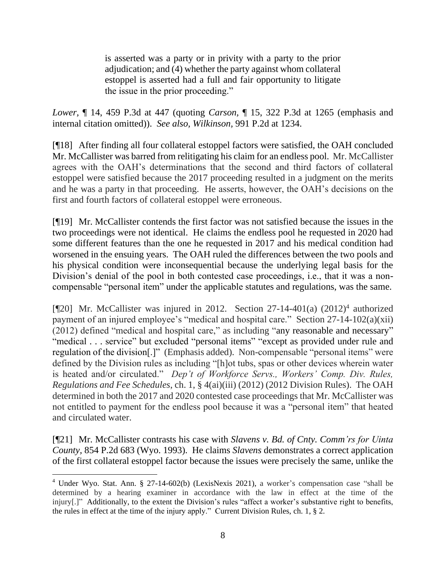is asserted was a party or in privity with a party to the prior adjudication; and (4) whether the party against whom collateral estoppel is asserted had a full and fair opportunity to litigate the issue in the prior proceeding."

*Lower,* ¶ 14, 459 P.3d at 447 (quoting *Carson,* ¶ 15, 322 P.3d at 1265 (emphasis and internal citation omitted)). *See also, Wilkinson,* 991 P.2d at 1234.

[¶18] After finding all four collateral estoppel factors were satisfied, the OAH concluded Mr. McCallister was barred from relitigating his claim for an endless pool. Mr. McCallister agrees with the OAH's determinations that the second and third factors of collateral estoppel were satisfied because the 2017 proceeding resulted in a judgment on the merits and he was a party in that proceeding. He asserts, however, the OAH's decisions on the first and fourth factors of collateral estoppel were erroneous.

[¶19] Mr. McCallister contends the first factor was not satisfied because the issues in the two proceedings were not identical. He claims the endless pool he requested in 2020 had some different features than the one he requested in 2017 and his medical condition had worsened in the ensuing years. The OAH ruled the differences between the two pools and his physical condition were inconsequential because the underlying legal basis for the Division's denial of the pool in both contested case proceedings, i.e., that it was a noncompensable "personal item" under the applicable statutes and regulations, was the same.

[¶20] Mr. McCallister was injured in 2012. Section 27-14-401(a) (2012)<sup>4</sup> authorized payment of an injured employee's "medical and hospital care." Section 27-14-102(a)(xii) (2012) defined "medical and hospital care," as including "any reasonable and necessary" "medical . . . service" but excluded "personal items" "except as provided under rule and regulation of the division[.]" (Emphasis added).Non-compensable "personal items" were defined by the Division rules as including "[h]ot tubs, spas or other devices wherein water is heated and/or circulated." *Dep't of Workforce Servs., Workers' Comp. Div. Rules, Regulations and Fee Schedules*, ch. 1, § 4(ai)(iii) (2012) (2012 Division Rules). The OAH determined in both the 2017 and 2020 contested case proceedings that Mr. McCallister was not entitled to payment for the endless pool because it was a "personal item" that heated and circulated water.

[¶21] Mr. McCallister contrasts his case with *Slavens v. Bd. of Cnty. Comm'rs for Uinta County,* 854 P.2d 683 (Wyo. 1993). He claims *Slavens* demonstrates a correct application of the first collateral estoppel factor because the issues were precisely the same, unlike the

<sup>4</sup> Under Wyo. Stat. Ann. § 27-14-602(b) (LexisNexis 2021), a worker's compensation case "shall be determined by a hearing examiner in accordance with the law in effect at the time of the injury[.]" Additionally, to the extent the Division's rules "affect a worker's substantive right to benefits, the rules in effect at the time of the injury apply." Current Division Rules, ch. 1, § 2.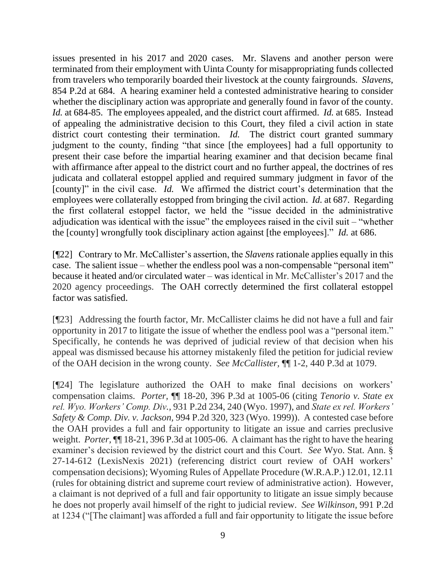issues presented in his 2017 and 2020 cases. Mr. Slavens and another person were terminated from their employment with Uinta County for misappropriating funds collected from travelers who temporarily boarded their livestock at the county fairgrounds. *Slavens,*  854 P.2d at 684. A hearing examiner held a contested administrative hearing to consider whether the disciplinary action was appropriate and generally found in favor of the county. *Id.* at 684-85. The employees appealed, and the district court affirmed. *Id.* at 685. Instead of appealing the administrative decision to this Court, they filed a civil action in state district court contesting their termination. *Id*. The district court granted summary judgment to the county, finding "that since [the employees] had a full opportunity to present their case before the impartial hearing examiner and that decision became final with affirmance after appeal to the district court and no further appeal, the doctrines of res judicata and collateral estoppel applied and required summary judgment in favor of the [county]" in the civil case. *Id.* We affirmed the district court's determination that the employees were collaterally estopped from bringing the civil action. *Id.* at 687. Regarding the first collateral estoppel factor, we held the "issue decided in the administrative adjudication was identical with the issue" the employees raised in the civil suit – "whether the [county] wrongfully took disciplinary action against [the employees]." *Id.* at 686.

[¶22] Contrary to Mr. McCallister's assertion, the *Slavens* rationale applies equally in this case. The salient issue – whether the endless pool was a non-compensable "personal item" because it heated and/or circulated water – was identical in Mr. McCallister's 2017 and the 2020 agency proceedings. The OAH correctly determined the first collateral estoppel factor was satisfied.

[¶23] Addressing the fourth factor, Mr. McCallister claims he did not have a full and fair opportunity in 2017 to litigate the issue of whether the endless pool was a "personal item." Specifically, he contends he was deprived of judicial review of that decision when his appeal was dismissed because his attorney mistakenly filed the petition for judicial review of the OAH decision in the wrong county. *See McCallister,* ¶¶ 1-2, 440 P.3d at 1079.

[¶24] The legislature authorized the OAH to make final decisions on workers' compensation claims. *Porter,* ¶¶ 18-20, 396 P.3d at 1005-06 (citing *Tenorio v. State ex rel. Wyo. Workers' Comp. Div.,* 931 P.2d 234, 240 (Wyo. 1997), and *State ex rel. Workers' Safety & Comp. Div. v. Jackson,* 994 P.2d 320, 323 (Wyo. 1999)). A contested case before the OAH provides a full and fair opportunity to litigate an issue and carries preclusive weight. *Porter,* ¶¶ 18-21, 396 P.3d at 1005-06. A claimant has the right to have the hearing examiner's decision reviewed by the district court and this Court. *See* Wyo. Stat. Ann. § 27-14-612 (LexisNexis 2021) (referencing district court review of OAH workers' compensation decisions); Wyoming Rules of Appellate Procedure (W.R.A.P.) 12.01, 12.11 (rules for obtaining district and supreme court review of administrative action). However, a claimant is not deprived of a full and fair opportunity to litigate an issue simply because he does not properly avail himself of the right to judicial review. *See Wilkinson,* 991 P.2d at 1234 ("[The claimant] was afforded a full and fair opportunity to litigate the issue before